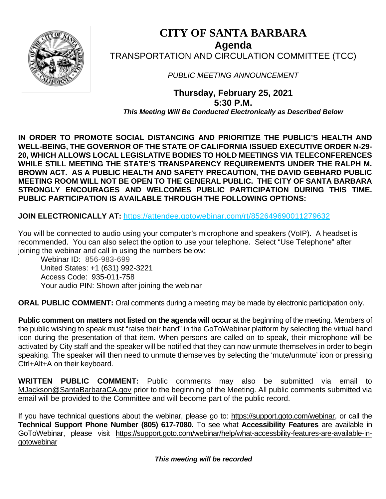

# **CITY OF SANTA BARBARA Agenda** TRANSPORTATION AND CIRCULATION COMMITTEE (TCC)

*PUBLIC MEETING ANNOUNCEMENT*

**Thursday, February 25, 2021 5:30 P.M.** *This Meeting Will Be Conducted Electronically as Described Below*

**IN ORDER TO PROMOTE SOCIAL DISTANCING AND PRIORITIZE THE PUBLIC'S HEALTH AND WELL-BEING, THE GOVERNOR OF THE STATE OF CALIFORNIA ISSUED EXECUTIVE ORDER N-29- 20, WHICH ALLOWS LOCAL LEGISLATIVE BODIES TO HOLD MEETINGS VIA TELECONFERENCES WHILE STILL MEETING THE STATE'S TRANSPARENCY REQUIREMENTS UNDER THE RALPH M. BROWN ACT. AS A PUBLIC HEALTH AND SAFETY PRECAUTION, THE DAVID GEBHARD PUBLIC MEETING ROOM WILL NOT BE OPEN TO THE GENERAL PUBLIC. THE CITY OF SANTA BARBARA STRONGLY ENCOURAGES AND WELCOMES PUBLIC PARTICIPATION DURING THIS TIME. PUBLIC PARTICIPATION IS AVAILABLE THROUGH THE FOLLOWING OPTIONS:**

**JOIN ELECTRONICALLY AT:** <https://attendee.gotowebinar.com/rt/852649690011279632>

You will be connected to audio using your computer's microphone and speakers (VoIP). A headset is recommended. You can also select the option to use your telephone. Select "Use Telephone" after joining the webinar and call in using the numbers below:

Webinar ID: 856-983-699 United States: +1 (631) 992-3221 Access Code: 935-011-758 Your audio PIN: Shown after joining the webinar

**ORAL PUBLIC COMMENT:** Oral comments during a meeting may be made by electronic participation only.

**Public comment on matters not listed on the agenda will occur** at the beginning of the meeting. Members of the public wishing to speak must "raise their hand" in the GoToWebinar platform by selecting the virtual hand icon during the presentation of that item. When persons are called on to speak, their microphone will be activated by City staff and the speaker will be notified that they can now unmute themselves in order to begin speaking. The speaker will then need to unmute themselves by selecting the 'mute/unmute' icon or pressing Ctrl+Alt+A on their keyboard.

**WRITTEN PUBLIC COMMENT:** Public comments may also be submitted via email to [MJackson@SantaBarbaraCA.gov](mailto:MJackson@SantaBarbaraCA.gov) prior to the beginning of the Meeting. All public comments submitted via email will be provided to the Committee and will become part of the public record.

If you have technical questions about the webinar, please go to: [https://support.goto.com/webinar,](https://support.goto.com/webinar) or call the **Technical Support Phone Number (805) 617-7080.** To see what **Accessibility Features** are available in GoToWebinar, please visit [https://support.goto.com/webinar/help/what-accessbility-features-are-available-in](https://support.goto.com/webinar/help/what-accessbility-features-are-available-in-gotowebinar)[gotowebinar](https://support.goto.com/webinar/help/what-accessbility-features-are-available-in-gotowebinar)

 *This meeting will be recorded*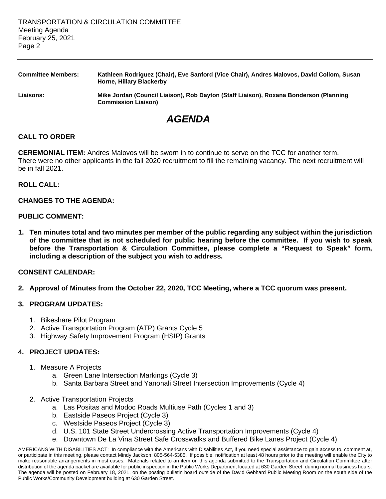| <b>Committee Members:</b> | Kathleen Rodriguez (Chair), Eve Sanford (Vice Chair), Andres Malovos, David Collom, Susan<br><b>Horne, Hillary Blackerby</b> |
|---------------------------|------------------------------------------------------------------------------------------------------------------------------|
| <b>Liaisons:</b>          | Mike Jordan (Council Liaison), Rob Dayton (Staff Liaison), Roxana Bonderson (Planning<br><b>Commission Liaison)</b>          |

# *AGENDA*

## **CALL TO ORDER**

**CEREMONIAL ITEM:** Andres Malovos will be sworn in to continue to serve on the TCC for another term. There were no other applicants in the fall 2020 recruitment to fill the remaining vacancy. The next recruitment will be in fall 2021.

#### **ROLL CALL:**

## **CHANGES TO THE AGENDA:**

#### **PUBLIC COMMENT:**

**1. Ten minutes total and two minutes per member of the public regarding any subject within the jurisdiction of the committee that is not scheduled for public hearing before the committee. If you wish to speak before the Transportation & Circulation Committee, please complete a "Request to Speak" form, including a description of the subject you wish to address.**

#### **CONSENT CALENDAR:**

**2. Approval of Minutes from the October 22, 2020, TCC Meeting, where a TCC quorum was present.**

#### **3. PROGRAM UPDATES:**

- 1. Bikeshare Pilot Program
- 2. Active Transportation Program (ATP) Grants Cycle 5
- 3. Highway Safety Improvement Program (HSIP) Grants

#### **4. PROJECT UPDATES:**

- 1. Measure A Projects
	- a. Green Lane Intersection Markings (Cycle 3)
	- b. Santa Barbara Street and Yanonali Street Intersection Improvements (Cycle 4)
- 2. Active Transportation Projects
	- a. Las Positas and Modoc Roads Multiuse Path (Cycles 1 and 3)
	- b. Eastside Paseos Project (Cycle 3)
	- c. Westside Paseos Project (Cycle 3)
	- d. U.S. 101 State Street Undercrossing Active Transportation Improvements (Cycle 4)
	- e. Downtown De La Vina Street Safe Crosswalks and Buffered Bike Lanes Project (Cycle 4)

AMERICANS WITH DISABILITIES ACT: In compliance with the Americans with Disabilities Act, if you need special assistance to gain access to, comment at, or participate in this meeting, please contact Mindy Jackson: 805-564-5385. If possible, notification at least 48 hours prior to the meeting will enable the City to make reasonable arrangements in most cases. Materials related to an item on this agenda submitted to the Transportation and Circulation Committee after distribution of the agenda packet are available for public inspection in the Public Works Department located at 630 Garden Street, during normal business hours. The agenda will be posted on February 18, 2021, on the posting bulletin board outside of the David Gebhard Public Meeting Room on the south side of the Public Works/Community Development building at 630 Garden Street.